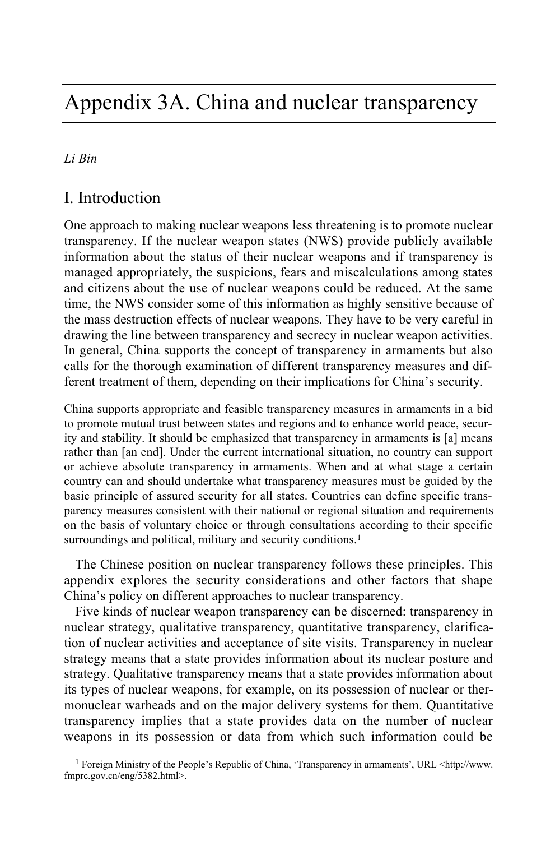# Appendix 3A. China and nuclear transparency

### *Li Bin*

### I. Introduction

One approach to making nuclear weapons less threatening is to promote nuclear transparency. If the nuclear weapon states (NWS) provide publicly available information about the status of their nuclear weapons and if transparency is managed appropriately, the suspicions, fears and miscalculations among states and citizens about the use of nuclear weapons could be reduced. At the same time, the NWS consider some of this information as highly sensitive because of the mass destruction effects of nuclear weapons. They have to be very careful in drawing the line between transparency and secrecy in nuclear weapon activities. In general, China supports the concept of transparency in armaments but also calls for the thorough examination of different transparency measures and different treatment of them, depending on their implications for China's security.

China supports appropriate and feasible transparency measures in armaments in a bid to promote mutual trust between states and regions and to enhance world peace, security and stability. It should be emphasized that transparency in armaments is [a] means rather than [an end]. Under the current international situation, no country can support or achieve absolute transparency in armaments. When and at what stage a certain country can and should undertake what transparency measures must be guided by the basic principle of assured security for all states. Countries can define specific transparency measures consistent with their national or regional situation and requirements on the basis of voluntary choice or through consultations according to their specific surroundings and political, military and security conditions.<sup>1</sup>

The Chinese position on nuclear transparency follows these principles. This appendix explores the security considerations and other factors that shape China's policy on different approaches to nuclear transparency.

Five kinds of nuclear weapon transparency can be discerned: transparency in nuclear strategy, qualitative transparency, quantitative transparency, clarification of nuclear activities and acceptance of site visits. Transparency in nuclear strategy means that a state provides information about its nuclear posture and strategy. Qualitative transparency means that a state provides information about its types of nuclear weapons, for example, on its possession of nuclear or thermonuclear warheads and on the major delivery systems for them. Quantitative transparency implies that a state provides data on the number of nuclear weapons in its possession or data from which such information could be

1 Foreign Ministry of the People's Republic of China, 'Transparency in armaments', URL <http://www. fmprc.gov.cn/eng/5382.html>.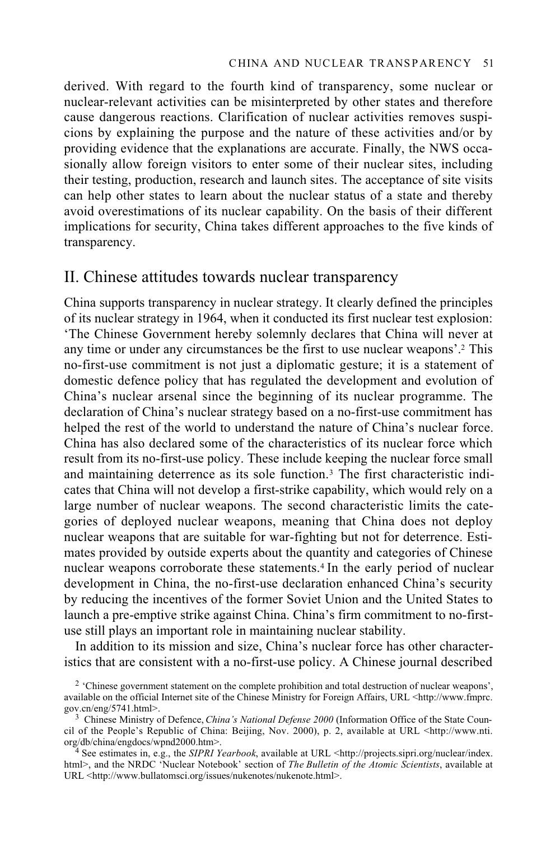derived. With regard to the fourth kind of transparency, some nuclear or nuclear-relevant activities can be misinterpreted by other states and therefore cause dangerous reactions. Clarification of nuclear activities removes suspicions by explaining the purpose and the nature of these activities and/or by providing evidence that the explanations are accurate. Finally, the NWS occasionally allow foreign visitors to enter some of their nuclear sites, including their testing, production, research and launch sites. The acceptance of site visits can help other states to learn about the nuclear status of a state and thereby avoid overestimations of its nuclear capability. On the basis of their different implications for security, China takes different approaches to the five kinds of transparency.

### II. Chinese attitudes towards nuclear transparency

China supports transparency in nuclear strategy. It clearly defined the principles of its nuclear strategy in 1964, when it conducted its first nuclear test explosion: 'The Chinese Government hereby solemnly declares that China will never at any time or under any circumstances be the first to use nuclear weapons'.2 This no-first-use commitment is not just a diplomatic gesture; it is a statement of domestic defence policy that has regulated the development and evolution of China's nuclear arsenal since the beginning of its nuclear programme. The declaration of China's nuclear strategy based on a no-first-use commitment has helped the rest of the world to understand the nature of China's nuclear force. China has also declared some of the characteristics of its nuclear force which result from its no-first-use policy. These include keeping the nuclear force small and maintaining deterrence as its sole function.<sup>3</sup> The first characteristic indicates that China will not develop a first-strike capability, which would rely on a large number of nuclear weapons. The second characteristic limits the categories of deployed nuclear weapons, meaning that China does not deploy nuclear weapons that are suitable for war-fighting but not for deterrence. Estimates provided by outside experts about the quantity and categories of Chinese nuclear weapons corroborate these statements.<sup>4</sup> In the early period of nuclear development in China, the no-first-use declaration enhanced China's security by reducing the incentives of the former Soviet Union and the United States to launch a pre-emptive strike against China. China's firm commitment to no-firstuse still plays an important role in maintaining nuclear stability.

In addition to its mission and size, China's nuclear force has other characteristics that are consistent with a no-first-use policy. A Chinese journal described

<sup>&</sup>lt;sup>2</sup> 'Chinese government statement on the complete prohibition and total destruction of nuclear weapons', available on the official Internet site of the Chinese Ministry for Foreign Affairs, URL <http://www.fmprc. gov.cn/eng/5741.html>.

<sup>&</sup>lt;sup>3</sup> Chinese Ministry of Defence, *China's National Defense 2000* (Information Office of the State Council of the People's Republic of China: Beijing, Nov. 2000), p. 2, available at URL <http://www.nti.

<sup>&</sup>lt;sup>4</sup> See estimates in, e.g., the *SIPRI Yearbook*, available at URL <http://projects.sipri.org/nuclear/index. html>, and the NRDC 'Nuclear Notebook' section of *The Bulletin of the Atomic Scientists*, available at URL <http://www.bullatomsci.org/issues/nukenotes/nukenote.html>.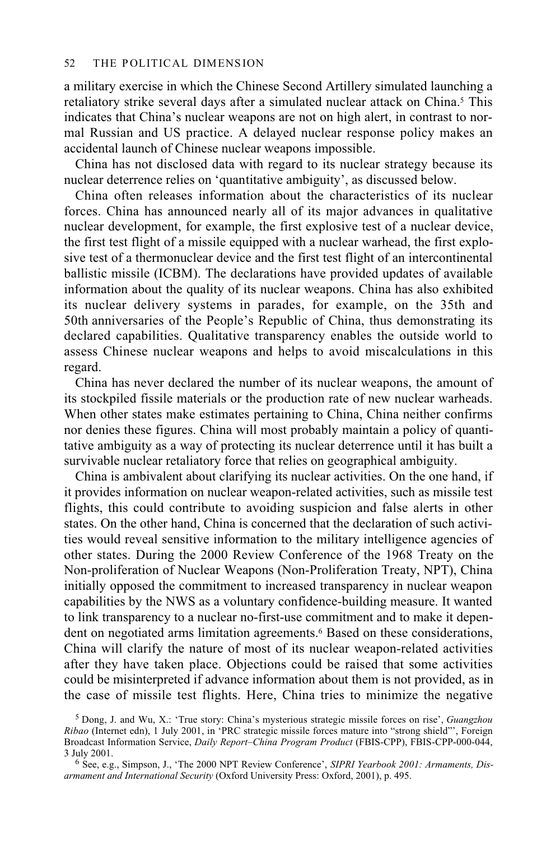#### 52 THE POLITICAL DIMENSION

a military exercise in which the Chinese Second Artillery simulated launching a retaliatory strike several days after a simulated nuclear attack on China.<sup>5</sup> This indicates that China's nuclear weapons are not on high alert, in contrast to normal Russian and US practice. A delayed nuclear response policy makes an accidental launch of Chinese nuclear weapons impossible.

China has not disclosed data with regard to its nuclear strategy because its nuclear deterrence relies on 'quantitative ambiguity', as discussed below.

China often releases information about the characteristics of its nuclear forces. China has announced nearly all of its major advances in qualitative nuclear development, for example, the first explosive test of a nuclear device, the first test flight of a missile equipped with a nuclear warhead, the first explosive test of a thermonuclear device and the first test flight of an intercontinental ballistic missile (ICBM). The declarations have provided updates of available information about the quality of its nuclear weapons. China has also exhibited its nuclear delivery systems in parades, for example, on the 35th and 50th anniversaries of the People's Republic of China, thus demonstrating its declared capabilities. Qualitative transparency enables the outside world to assess Chinese nuclear weapons and helps to avoid miscalculations in this regard.

China has never declared the number of its nuclear weapons, the amount of its stockpiled fissile materials or the production rate of new nuclear warheads. When other states make estimates pertaining to China, China neither confirms nor denies these figures. China will most probably maintain a policy of quantitative ambiguity as a way of protecting its nuclear deterrence until it has built a survivable nuclear retaliatory force that relies on geographical ambiguity.

China is ambivalent about clarifying its nuclear activities. On the one hand, if it provides information on nuclear weapon-related activities, such as missile test flights, this could contribute to avoiding suspicion and false alerts in other states. On the other hand, China is concerned that the declaration of such activities would reveal sensitive information to the military intelligence agencies of other states. During the 2000 Review Conference of the 1968 Treaty on the Non-proliferation of Nuclear Weapons (Non-Proliferation Treaty, NPT), China initially opposed the commitment to increased transparency in nuclear weapon capabilities by the NWS as a voluntary confidence-building measure. It wanted to link transparency to a nuclear no-first-use commitment and to make it dependent on negotiated arms limitation agreements.6 Based on these considerations, China will clarify the nature of most of its nuclear weapon-related activities after they have taken place. Objections could be raised that some activities could be misinterpreted if advance information about them is not provided, as in the case of missile test flights. Here, China tries to minimize the negative

<sup>5</sup> Dong, J. and Wu, X.: 'True story: China's mysterious strategic missile forces on rise', *Guangzhou Ribao* (Internet edn), 1 July 2001, in 'PRC strategic missile forces mature into "strong shield"', Foreign Broadcast Information Service, *Daily Report–China Program Product* (FBIS-CPP), FBIS-CPP-000-044, 3 July 2001. 6 See, e.g., Simpson, J., 'The 2000 NPT Review Conference', *SIPRI Yearbook 2001: Armaments, Dis-*

*armament and International Security* (Oxford University Press: Oxford, 2001), p. 495.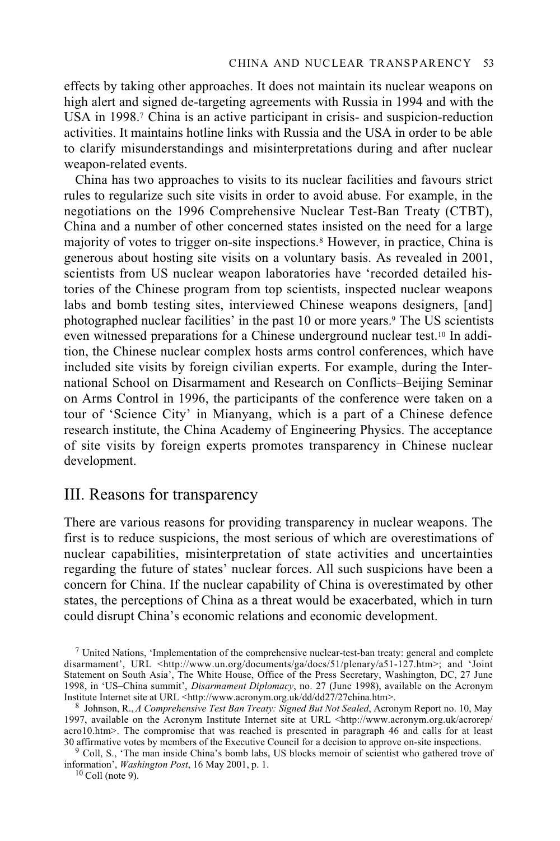effects by taking other approaches. It does not maintain its nuclear weapons on high alert and signed de-targeting agreements with Russia in 1994 and with the USA in 1998.7 China is an active participant in crisis- and suspicion-reduction activities. It maintains hotline links with Russia and the USA in order to be able to clarify misunderstandings and misinterpretations during and after nuclear weapon-related events.

China has two approaches to visits to its nuclear facilities and favours strict rules to regularize such site visits in order to avoid abuse. For example, in the negotiations on the 1996 Comprehensive Nuclear Test-Ban Treaty (CTBT), China and a number of other concerned states insisted on the need for a large majority of votes to trigger on-site inspections.8 However, in practice, China is generous about hosting site visits on a voluntary basis. As revealed in 2001, scientists from US nuclear weapon laboratories have 'recorded detailed histories of the Chinese program from top scientists, inspected nuclear weapons labs and bomb testing sites, interviewed Chinese weapons designers, [and] photographed nuclear facilities' in the past 10 or more years.9 The US scientists even witnessed preparations for a Chinese underground nuclear test.10 In addition, the Chinese nuclear complex hosts arms control conferences, which have included site visits by foreign civilian experts. For example, during the International School on Disarmament and Research on Conflicts–Beijing Seminar on Arms Control in 1996, the participants of the conference were taken on a tour of 'Science City' in Mianyang, which is a part of a Chinese defence research institute, the China Academy of Engineering Physics. The acceptance of site visits by foreign experts promotes transparency in Chinese nuclear development.

### III. Reasons for transparency

There are various reasons for providing transparency in nuclear weapons. The first is to reduce suspicions, the most serious of which are overestimations of nuclear capabilities, misinterpretation of state activities and uncertainties regarding the future of states' nuclear forces. All such suspicions have been a concern for China. If the nuclear capability of China is overestimated by other states, the perceptions of China as a threat would be exacerbated, which in turn could disrupt China's economic relations and economic development.

 $<sup>7</sup>$  United Nations, 'Implementation of the comprehensive nuclear-test-ban treaty: general and complete</sup> disarmament', URL <http://www.un.org/documents/ga/docs/51/plenary/a51-127.htm>; and 'Joint Statement on South Asia', The White House, Office of the Press Secretary, Washington, DC, 27 June 1998, in 'US–China summit', *Disarmament Diplomacy*, no. 27 (June 1998), available on the Acronym

<sup>&</sup>lt;sup>8</sup> Johnson, R., *A Comprehensive Test Ban Treaty: Signed But Not Sealed*, Acronym Report no. 10, May 1997, available on the Acronym Institute Internet site at URL <http://www.acronym.org.uk/acrorep/ acro10.htm>. The compromise that was reached is presented in paragraph 46 and calls for at least 30 affirmative votes by members of the Executive Council for a decision to approve on-site inspections.

<sup>&</sup>lt;sup>9</sup> Coll, S., 'The man inside China's bomb labs, US blocks memoir of scientist who gathered trove of information', *Washington Post*, 16 May 2001, p. 1. 10 Coll (note 9).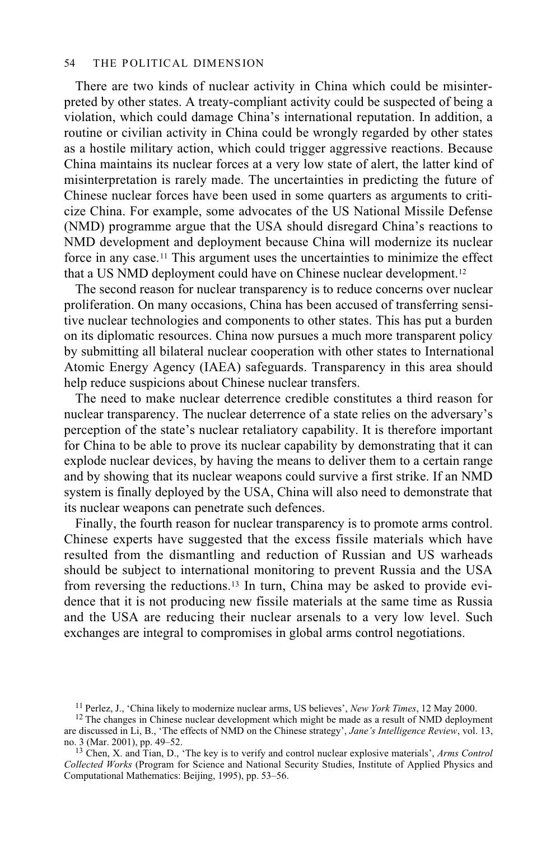#### 54 THE POLITICAL DIMENSION

There are two kinds of nuclear activity in China which could be misinterpreted by other states. A treaty-compliant activity could be suspected of being a violation, which could damage China's international reputation. In addition, a routine or civilian activity in China could be wrongly regarded by other states as a hostile military action, which could trigger aggressive reactions. Because China maintains its nuclear forces at a very low state of alert, the latter kind of misinterpretation is rarely made. The uncertainties in predicting the future of Chinese nuclear forces have been used in some quarters as arguments to criticize China. For example, some advocates of the US National Missile Defense (NMD) programme argue that the USA should disregard China's reactions to NMD development and deployment because China will modernize its nuclear force in any case.11 This argument uses the uncertainties to minimize the effect that a US NMD deployment could have on Chinese nuclear development.12

The second reason for nuclear transparency is to reduce concerns over nuclear proliferation. On many occasions, China has been accused of transferring sensitive nuclear technologies and components to other states. This has put a burden on its diplomatic resources. China now pursues a much more transparent policy by submitting all bilateral nuclear cooperation with other states to International Atomic Energy Agency (IAEA) safeguards. Transparency in this area should help reduce suspicions about Chinese nuclear transfers.

The need to make nuclear deterrence credible constitutes a third reason for nuclear transparency. The nuclear deterrence of a state relies on the adversary's perception of the state's nuclear retaliatory capability. It is therefore important for China to be able to prove its nuclear capability by demonstrating that it can explode nuclear devices, by having the means to deliver them to a certain range and by showing that its nuclear weapons could survive a first strike. If an NMD system is finally deployed by the USA, China will also need to demonstrate that its nuclear weapons can penetrate such defences.

Finally, the fourth reason for nuclear transparency is to promote arms control. Chinese experts have suggested that the excess fissile materials which have resulted from the dismantling and reduction of Russian and US warheads should be subject to international monitoring to prevent Russia and the USA from reversing the reductions.13 In turn, China may be asked to provide evidence that it is not producing new fissile materials at the same time as Russia and the USA are reducing their nuclear arsenals to a very low level. Such exchanges are integral to compromises in global arms control negotiations.

<sup>&</sup>lt;sup>11</sup> Perlez, J., 'China likely to modernize nuclear arms, US believes', *New York Times*, 12 May 2000. <sup>12</sup> The changes in Chinese nuclear development which might be made as a result of NMD deployment are discussed in Li, B., 'The effects of NMD on the Chinese strategy', *Jane's Intelligence Review*, vol. 13, no. 3 (Mar. 2001), pp. 49–52.

<sup>&</sup>lt;sup>13</sup> Chen, X. and Tian, D., 'The key is to verify and control nuclear explosive materials', *Arms Control Collected Works* (Program for Science and National Security Studies, Institute of Applied Physics and Computational Mathematics: Beijing, 1995), pp. 53–56.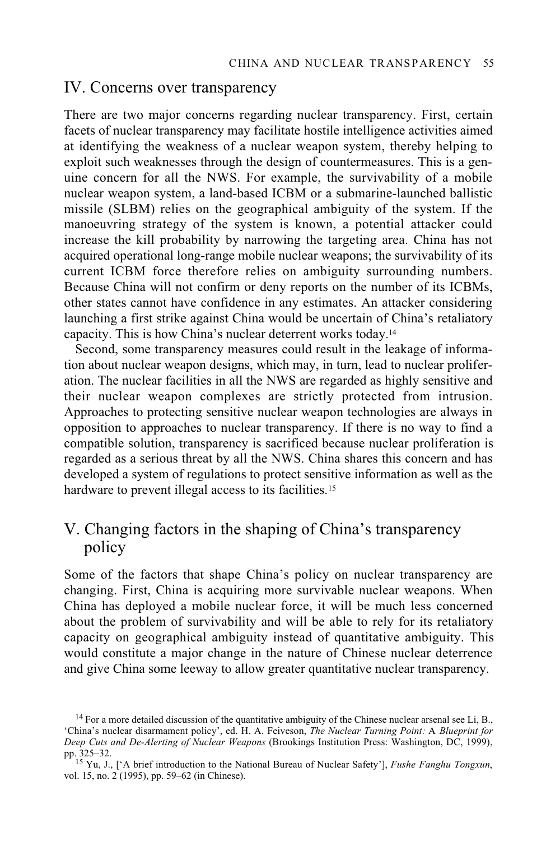### IV. Concerns over transparency

There are two major concerns regarding nuclear transparency. First, certain facets of nuclear transparency may facilitate hostile intelligence activities aimed at identifying the weakness of a nuclear weapon system, thereby helping to exploit such weaknesses through the design of countermeasures. This is a genuine concern for all the NWS. For example, the survivability of a mobile nuclear weapon system, a land-based ICBM or a submarine-launched ballistic missile (SLBM) relies on the geographical ambiguity of the system. If the manoeuvring strategy of the system is known, a potential attacker could increase the kill probability by narrowing the targeting area. China has not acquired operational long-range mobile nuclear weapons; the survivability of its current ICBM force therefore relies on ambiguity surrounding numbers. Because China will not confirm or deny reports on the number of its ICBMs, other states cannot have confidence in any estimates. An attacker considering launching a first strike against China would be uncertain of China's retaliatory capacity. This is how China's nuclear deterrent works today.14

Second, some transparency measures could result in the leakage of information about nuclear weapon designs, which may, in turn, lead to nuclear proliferation. The nuclear facilities in all the NWS are regarded as highly sensitive and their nuclear weapon complexes are strictly protected from intrusion. Approaches to protecting sensitive nuclear weapon technologies are always in opposition to approaches to nuclear transparency. If there is no way to find a compatible solution, transparency is sacrificed because nuclear proliferation is regarded as a serious threat by all the NWS. China shares this concern and has developed a system of regulations to protect sensitive information as well as the hardware to prevent illegal access to its facilities.<sup>15</sup>

# V. Changing factors in the shaping of China's transparency policy

Some of the factors that shape China's policy on nuclear transparency are changing. First, China is acquiring more survivable nuclear weapons. When China has deployed a mobile nuclear force, it will be much less concerned about the problem of survivability and will be able to rely for its retaliatory capacity on geographical ambiguity instead of quantitative ambiguity. This would constitute a major change in the nature of Chinese nuclear deterrence and give China some leeway to allow greater quantitative nuclear transparency.

<sup>&</sup>lt;sup>14</sup> For a more detailed discussion of the quantitative ambiguity of the Chinese nuclear arsenal see Li, B., 'China's nuclear disarmament policy', ed. H. A. Feiveson, *The Nuclear Turning Point:* A *Blueprint for Deep Cuts and De-Alerting of Nuclear Weapons* (Brookings Institution Press: Washington, DC, 1999), pp. 325–32. 15 Yu, J., ['A brief introduction to the National Bureau of Nuclear Safety'], *Fushe Fanghu Tongxun*,

vol. 15, no. 2 (1995), pp. 59–62 (in Chinese).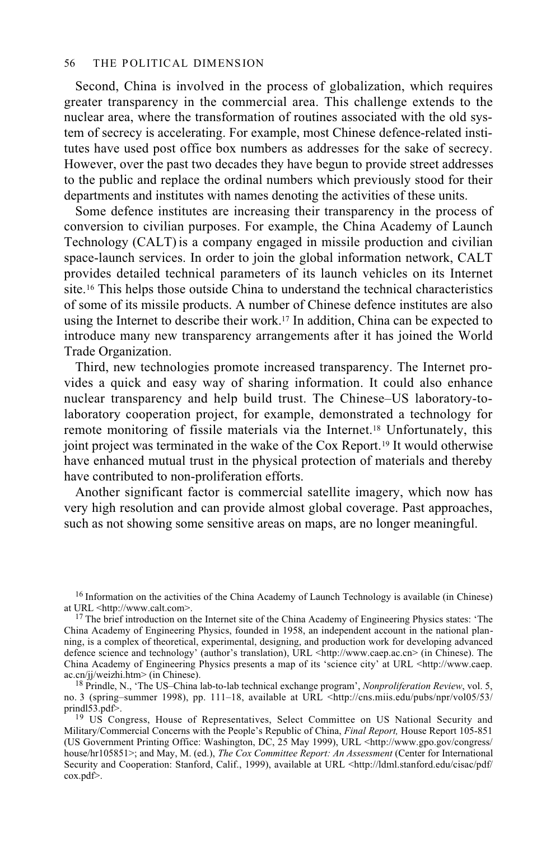#### 56 THE POLITICAL DIMENSION

Second, China is involved in the process of globalization, which requires greater transparency in the commercial area. This challenge extends to the nuclear area, where the transformation of routines associated with the old system of secrecy is accelerating. For example, most Chinese defence-related institutes have used post office box numbers as addresses for the sake of secrecy. However, over the past two decades they have begun to provide street addresses to the public and replace the ordinal numbers which previously stood for their departments and institutes with names denoting the activities of these units.

Some defence institutes are increasing their transparency in the process of conversion to civilian purposes. For example, the China Academy of Launch Technology (CALT)is a company engaged in missile production and civilian space-launch services. In order to join the global information network, CALT provides detailed technical parameters of its launch vehicles on its Internet site.16 This helps those outside China to understand the technical characteristics of some of its missile products. A number of Chinese defence institutes are also using the Internet to describe their work.17 In addition, China can be expected to introduce many new transparency arrangements after it has joined the World Trade Organization.

Third, new technologies promote increased transparency. The Internet provides a quick and easy way of sharing information. It could also enhance nuclear transparency and help build trust. The Chinese–US laboratory-tolaboratory cooperation project, for example, demonstrated a technology for remote monitoring of fissile materials via the Internet.18 Unfortunately, this joint project was terminated in the wake of the Cox Report.<sup>19</sup> It would otherwise have enhanced mutual trust in the physical protection of materials and thereby have contributed to non-proliferation efforts.

Another significant factor is commercial satellite imagery, which now has very high resolution and can provide almost global coverage. Past approaches, such as not showing some sensitive areas on maps, are no longer meaningful.

<sup>&</sup>lt;sup>16</sup> Information on the activities of the China Academy of Launch Technology is available (in Chinese) at URL <http://www.calt.com>.

 $17$  The brief introduction on the Internet site of the China Academy of Engineering Physics states: 'The China Academy of Engineering Physics, founded in 1958, an independent account in the national planning, is a complex of theoretical, experimental, designing, and production work for developing advanced defence science and technology' (author's translation), URL <http://www.caep.ac.cn> (in Chinese). The China Academy of Engineering Physics presents a map of its 'science city' at URL <http://www.caep. ac.cn/jj/weizhi.htm> (in Chinese).

<sup>&</sup>lt;sup>18</sup> Prindle, N., 'The US–China lab-to-lab technical exchange program', *Nonproliferation Review*, vol. 5, no. 3 (spring–summer 1998), pp. 111–18, available at URL <http://cns.miis.edu/pubs/npr/vol05/53/

<sup>&</sup>lt;sup>19</sup> US Congress, House of Representatives, Select Committee on US National Security and Military/Commercial Concerns with the People's Republic of China, *Final Report,* House Report 105-851 (US Government Printing Office: Washington, DC, 25 May 1999), URL <http://www.gpo.gov/congress/ house/hr105851>; and May, M. (ed.), *The Cox Committee Report: An Assessment* (Center for International Security and Cooperation: Stanford, Calif., 1999), available at URL <http://ldml.stanford.edu/cisac/pdf/ cox.pdf>.